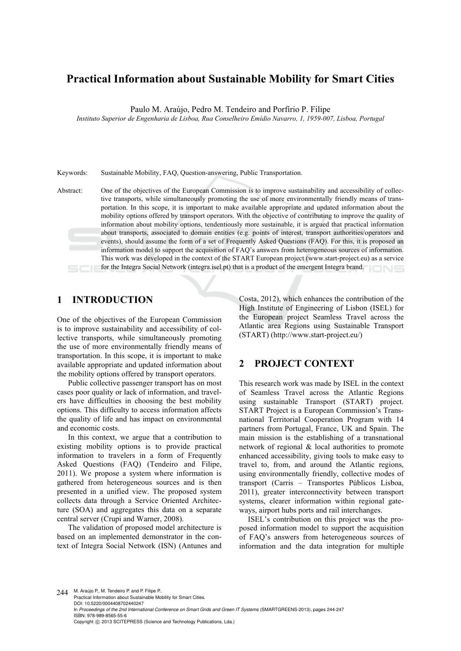# **Practical Information about Sustainable Mobility for Smart Cities**

Paulo M. Araújo, Pedro M. Tendeiro and Porfírio P. Filipe

*Instituto Superior de Engenharia de Lisboa, Rua Conselheiro Emídio Navarro, 1, 1959-007, Lisboa, Portugal* 

Keywords: Sustainable Mobility, FAQ, Question-answering, Public Transportation.

Abstract: One of the objectives of the European Commission is to improve sustainability and accessibility of collective transports, while simultaneously promoting the use of more environmentally friendly means of transportation. In this scope, it is important to make available appropriate and updated information about the mobility options offered by transport operators. With the objective of contributing to improve the quality of information about mobility options, tendentiously more sustainable, it is argued that practical information about transports, associated to domain entities (e.g. points of interest, transport authorities/operators and events), should assume the form of a set of Frequently Asked Questions (FAQ). For this, it is proposed an information model to support the acquisition of FAQ's answers from heterogeneous sources of information. This work was developed in the context of the START European project (www.start-project.eu) as a service for the Integra Social Network (integra.isel.pt) that is a product of the emergent Integra brand.

# **1 INTRODUCTION**

One of the objectives of the European Commission is to improve sustainability and accessibility of collective transports, while simultaneously promoting the use of more environmentally friendly means of transportation. In this scope, it is important to make available appropriate and updated information about the mobility options offered by transport operators.

Public collective passenger transport has on most cases poor quality or lack of information, and travelers have difficulties in choosing the best mobility options. This difficulty to access information affects the quality of life and has impact on environmental and economic costs.

In this context, we argue that a contribution to existing mobility options is to provide practical information to travelers in a form of Frequently Asked Questions (FAQ) (Tendeiro and Filipe, 2011). We propose a system where information is gathered from heterogeneous sources and is then presented in a unified view. The proposed system collects data through a Service Oriented Architecture (SOA) and aggregates this data on a separate central server (Crupi and Warner, 2008).

The validation of proposed model architecture is based on an implemented demonstrator in the context of Integra Social Network (ISN) (Antunes and Costa, 2012), which enhances the contribution of the High Institute of Engineering of Lisbon (ISEL) for the European project Seamless Travel across the Atlantic area Regions using Sustainable Transport (START) (http://www.start-project.eu/)

### **2 PROJECT CONTEXT**

This research work was made by ISEL in the context of Seamless Travel across the Atlantic Regions using sustainable Transport (START) project. START Project is a European Commission's Transnational Territorial Cooperation Program with 14 partners from Portugal, France, UK and Spain. The main mission is the establishing of a transnational network of regional & local authorities to promote enhanced accessibility, giving tools to make easy to travel to, from, and around the Atlantic regions, using environmentally friendly, collective modes of transport (Carris – Transportes Públicos Lisboa, 2011), greater interconnectivity between transport systems, clearer information within regional gateways, airport hubs ports and rail interchanges.

ISEL's contribution on this project was the proposed information model to support the acquisition of FAQ's answers from heterogeneous sources of information and the data integration for multiple

244 M. Araújo P., M. Tendeiro P. and P. Filipe P. Practical Information about Sustainable Mobility for Smart Cities. DOI: 10.5220/0004408702440247 In *Proceedings of the 2nd International Conference on Smart Grids and Green IT Systems* (SMARTGREENS-2013), pages 244-247 ISBN: 978-989-8565-55-6 Copyright © 2013 SCITEPRESS (Science and Technology Publications, Lda.)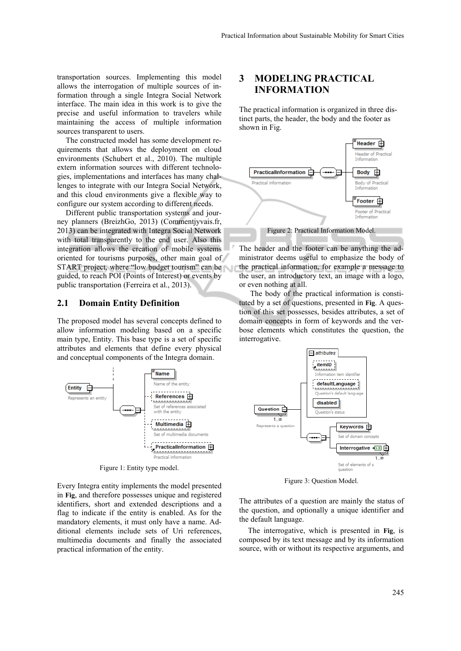transportation sources. Implementing this model allows the interrogation of multiple sources of information through a single Integra Social Network interface. The main idea in this work is to give the precise and useful information to travelers while maintaining the access of multiple information sources transparent to users.

The constructed model has some development requirements that allows the deployment on cloud environments (Schubert et al., 2010). The multiple extern information sources with different technologies, implementations and interfaces has many challenges to integrate with our Integra Social Network, and this cloud environments give a flexible way to configure our system according to different needs.

Different public transportation systems and journey planners (BreizhGo, 2013) (Commentjyvais.fr, 2013) can be integrated with Integra Social Network with total transparently to the end user. Also this integration allows the creation of mobile systems oriented for tourisms purposes, other main goal of START project, where "low budget tourism" can be guided, to reach POI (Points of Interest) or events by public transportation (Ferreira et al., 2013).

#### **2.1 Domain Entity Definition**

The proposed model has several concepts defined to allow information modeling based on a specific main type, Entity. This base type is a set of specific attributes and elements that define every physical and conceptual components of the Integra domain.



Figure 1: Entity type model.

Every Integra entity implements the model presented in **Fig**, and therefore possesses unique and registered identifiers, short and extended descriptions and a flag to indicate if the entity is enabled. As for the mandatory elements, it must only have a name. Additional elements include sets of Uri references, multimedia documents and finally the associated practical information of the entity.

## **3 MODELING PRACTICAL INFORMATION**

The practical information is organized in three distinct parts, the header, the body and the footer as shown in Fig.



The header and the footer can be anything the administrator deems useful to emphasize the body of the practical information, for example a message to the user, an introductory text, an image with a logo, or even nothing at all.

The body of the practical information is constituted by a set of questions, presented in **Fig**. A question of this set possesses, besides attributes, a set of domain concepts in form of keywords and the verbose elements which constitutes the question, the interrogative.



Figure 3: Question Model.

The attributes of a question are mainly the status of the question, and optionally a unique identifier and the default language.

The interrogative, which is presented in **Fig**, is composed by its text message and by its information source, with or without its respective arguments, and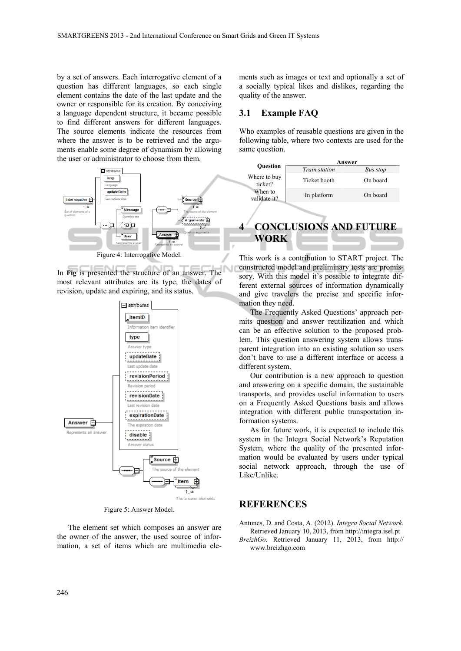by a set of answers. Each interrogative element of a question has different languages, so each single element contains the date of the last update and the owner or responsible for its creation. By conceiving a language dependent structure, it became possible to find different answers for different languages. The source elements indicate the resources from where the answer is to be retrieved and the arguments enable some degree of dynamism by allowing the user or administrator to choose from them.



In **Fig** is presented the structure of an answer. The most relevant attributes are its type, the dates of revision, update and expiring, and its status.



Figure 5: Answer Model.

The element set which composes an answer are the owner of the answer, the used source of information, a set of items which are multimedia ele-

ments such as images or text and optionally a set of a socially typical likes and dislikes, regarding the quality of the answer.

#### **3.1 Example FAQ**

Who examples of reusable questions are given in the following table, where two contexts are used for the same question.

| Question                              | Answer               |          |
|---------------------------------------|----------------------|----------|
|                                       | <i>Train station</i> | Bus stop |
| Where to buy<br>ticket?               | Ticket booth         | On board |
| When to<br>validate it?               | In platform          | On board |
| <b>CONCLUSIONS AND FUTURE</b><br>WORK |                      |          |

This work is a contribution to START project. The constructed model and preliminary tests are promissory. With this model it's possible to integrate different external sources of information dynamically and give travelers the precise and specific information they need.

The Frequently Asked Questions' approach permits question and answer reutilization and which can be an effective solution to the proposed problem. This question answering system allows transparent integration into an existing solution so users don't have to use a different interface or access a different system.

Our contribution is a new approach to question and answering on a specific domain, the sustainable transports, and provides useful information to users on a Frequently Asked Questions basis and allows integration with different public transportation information systems.

As for future work, it is expected to include this system in the Integra Social Network's Reputation System, where the quality of the presented information would be evaluated by users under typical social network approach, through the use of Like/Unlike.

### **REFERENCES**

- Antunes, D. and Costa, A. (2012). *Integra Social Network*. Retrieved January 10, 2013, from http://integra.isel.pt
- *BreizhGo*. Retrieved January 11, 2013, from http:// www.breizhgo.com